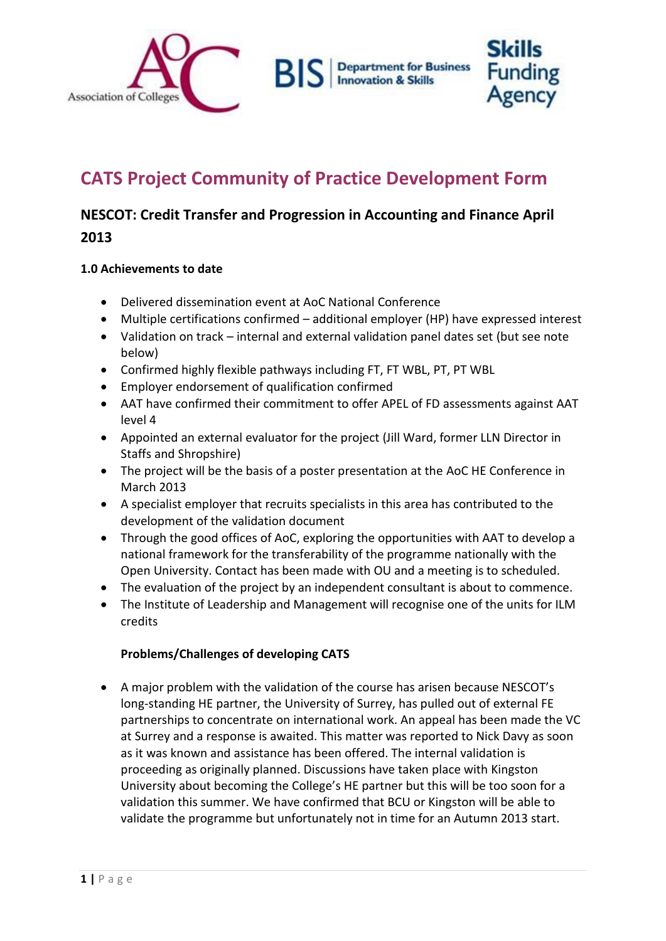

# **CATS Project Community of Practice Development Form**

# **NESCOT: Credit Transfer and Progression in Accounting and Finance April 2013**

#### **1.0 Achievements to date**

- Delivered dissemination event at AoC National Conference
- Multiple certifications confirmed additional employer (HP) have expressed interest
- Validation on track internal and external validation panel dates set (but see note below)
- Confirmed highly flexible pathways including FT, FT WBL, PT, PT WBL
- Employer endorsement of qualification confirmed
- AAT have confirmed their commitment to offer APEL of FD assessments against AAT level 4
- Appointed an external evaluator for the project (Jill Ward, former LLN Director in Staffs and Shropshire)
- The project will be the basis of a poster presentation at the AoC HE Conference in March 2013
- A specialist employer that recruits specialists in this area has contributed to the development of the validation document
- Through the good offices of AoC, exploring the opportunities with AAT to develop a national framework for the transferability of the programme nationally with the Open University. Contact has been made with OU and a meeting is to scheduled.
- The evaluation of the project by an independent consultant is about to commence.
- The Institute of Leadership and Management will recognise one of the units for ILM credits

### **Problems/Challenges of developing CATS**

 A major problem with the validation of the course has arisen because NESCOT's long-standing HE partner, the University of Surrey, has pulled out of external FE partnerships to concentrate on international work. An appeal has been made the VC at Surrey and a response is awaited. This matter was reported to Nick Davy as soon as it was known and assistance has been offered. The internal validation is proceeding as originally planned. Discussions have taken place with Kingston University about becoming the College's HE partner but this will be too soon for a validation this summer. We have confirmed that BCU or Kingston will be able to validate the programme but unfortunately not in time for an Autumn 2013 start.